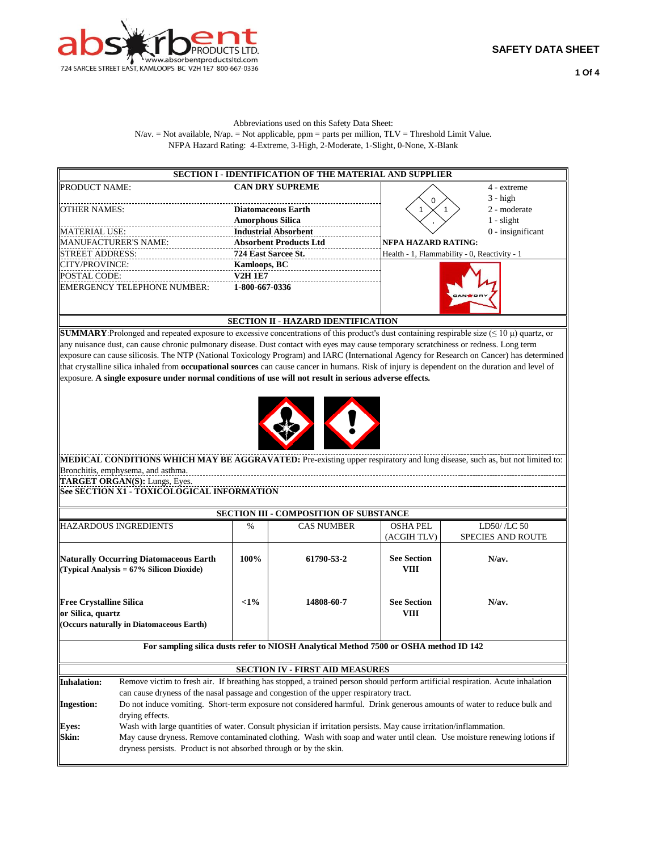

## Abbreviations used on this Safety Data Sheet:  $N$ /av. = Not available,  $N$ /ap. = Not applicable, ppm = parts per million,  $TLV$  = Threshold Limit Value. NFPA Hazard Rating: 4-Extreme, 3-High, 2-Moderate, 1-Slight, 0-None, X-Blank

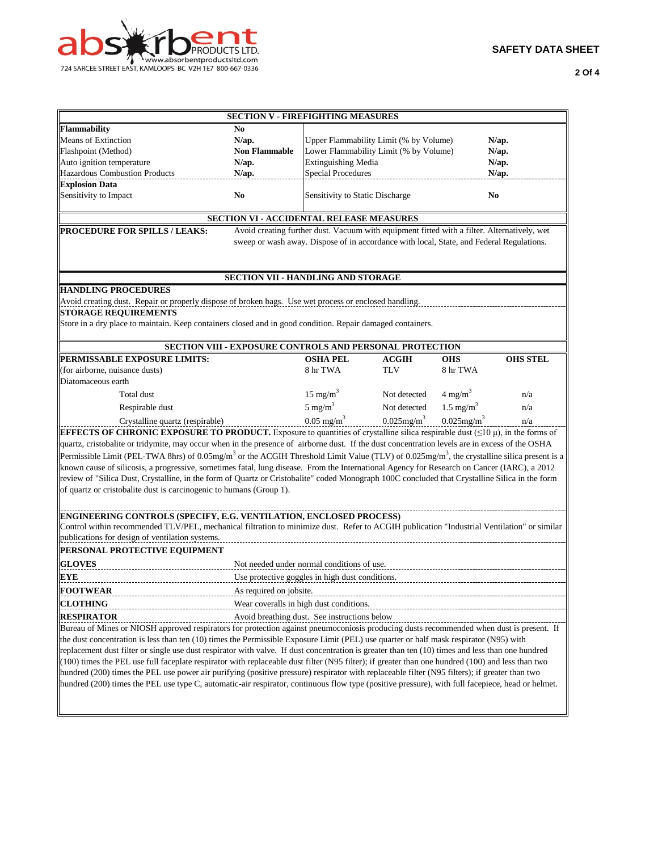

**2 Of 4**

| <b>SECTION V - FIREFIGHTING MEASURES</b>                                                                                                                           |                                                                                                                                                 |                                                                 |                           |                           |                 |  |  |  |  |
|--------------------------------------------------------------------------------------------------------------------------------------------------------------------|-------------------------------------------------------------------------------------------------------------------------------------------------|-----------------------------------------------------------------|---------------------------|---------------------------|-----------------|--|--|--|--|
| Flammability                                                                                                                                                       | No                                                                                                                                              |                                                                 |                           |                           |                 |  |  |  |  |
| <b>Means of Extinction</b>                                                                                                                                         | N/ap.                                                                                                                                           | Upper Flammability Limit (% by Volume)                          |                           |                           | N/ap.           |  |  |  |  |
| Flashpoint (Method)                                                                                                                                                | <b>Non Flammable</b>                                                                                                                            | Lower Flammability Limit (% by Volume)                          |                           |                           | $N$ /ap.        |  |  |  |  |
| Auto ignition temperature                                                                                                                                          | $N$ /ap.                                                                                                                                        | <b>Extinguishing Media</b>                                      |                           |                           | N/ap.           |  |  |  |  |
| <b>Hazardous Combustion Products</b>                                                                                                                               | N/ap.                                                                                                                                           | <b>Special Procedures</b>                                       |                           |                           | N/ap.           |  |  |  |  |
| <b>Explosion Data</b>                                                                                                                                              |                                                                                                                                                 |                                                                 |                           |                           |                 |  |  |  |  |
| Sensitivity to Impact                                                                                                                                              | N <sub>0</sub>                                                                                                                                  | Sensitivity to Static Discharge                                 |                           |                           | N <sub>0</sub>  |  |  |  |  |
| <b>SECTION VI - ACCIDENTAL RELEASE MEASURES</b>                                                                                                                    |                                                                                                                                                 |                                                                 |                           |                           |                 |  |  |  |  |
| Avoid creating further dust. Vacuum with equipment fitted with a filter. Alternatively, wet<br><b>PROCEDURE FOR SPILLS / LEAKS:</b>                                |                                                                                                                                                 |                                                                 |                           |                           |                 |  |  |  |  |
| sweep or wash away. Dispose of in accordance with local, State, and Federal Regulations.                                                                           |                                                                                                                                                 |                                                                 |                           |                           |                 |  |  |  |  |
|                                                                                                                                                                    |                                                                                                                                                 | SECTION VII - HANDLING AND STORAGE                              |                           |                           |                 |  |  |  |  |
| <b>HANDLING PROCEDURES</b>                                                                                                                                         |                                                                                                                                                 |                                                                 |                           |                           |                 |  |  |  |  |
| Avoid creating dust. Repair or properly dispose of broken bags. Use wet process or enclosed handling.                                                              |                                                                                                                                                 |                                                                 |                           |                           |                 |  |  |  |  |
| <b>STORAGE REQUIREMENTS</b>                                                                                                                                        |                                                                                                                                                 |                                                                 |                           |                           |                 |  |  |  |  |
| Store in a dry place to maintain. Keep containers closed and in good condition. Repair damaged containers.                                                         |                                                                                                                                                 |                                                                 |                           |                           |                 |  |  |  |  |
|                                                                                                                                                                    |                                                                                                                                                 | <b>SECTION VIII - EXPOSURE CONTROLS AND PERSONAL PROTECTION</b> |                           |                           |                 |  |  |  |  |
| PERMISSABLE EXPOSURE LIMITS:                                                                                                                                       |                                                                                                                                                 | <b>OSHA PEL</b>                                                 | <b>ACGIH</b>              | <b>OHS</b>                | <b>OHS STEL</b> |  |  |  |  |
| (for airborne, nuisance dusts)                                                                                                                                     |                                                                                                                                                 | 8 hr TWA                                                        | <b>TLV</b>                | 8 hr TWA                  |                 |  |  |  |  |
| Diatomaceous earth                                                                                                                                                 |                                                                                                                                                 |                                                                 |                           |                           |                 |  |  |  |  |
| Total dust                                                                                                                                                         |                                                                                                                                                 | $15 \text{ mg/m}^3$                                             | Not detected              | $4 \text{ mg/m}^3$        | n/a             |  |  |  |  |
| Respirable dust                                                                                                                                                    |                                                                                                                                                 | $5 \text{ mg/m}^3$                                              | Not detected              | $1.5 \text{ mg/m}^3$      | n/a             |  |  |  |  |
| Crystalline quartz (respirable)                                                                                                                                    |                                                                                                                                                 | $0.05 \text{ mg/m}^3$                                           | $0.025$ mg/m <sup>3</sup> | $0.025$ mg/m <sup>3</sup> | n/a             |  |  |  |  |
|                                                                                                                                                                    | <b>EFFECTS OF CHRONIC EXPOSURE TO PRODUCT.</b> Exposure to quantities of crystalline silica respirable dust $(\leq 10 \,\mu)$ , in the forms of |                                                                 |                           |                           |                 |  |  |  |  |
| quartz, cristobalite or tridymite, may occur when in the presence of airborne dust. If the dust concentration levels are in excess of the OSHA                     |                                                                                                                                                 |                                                                 |                           |                           |                 |  |  |  |  |
| Permissible Limit (PEL-TWA 8hrs) of 0.05mg/m <sup>3</sup> or the ACGIH Threshold Limit Value (TLV) of 0.025mg/m <sup>3</sup> , the crystalline silica present is a |                                                                                                                                                 |                                                                 |                           |                           |                 |  |  |  |  |
| known cause of silicosis, a progressive, sometimes fatal, lung disease. From the International Agency for Research on Cancer (IARC), a 2012                        |                                                                                                                                                 |                                                                 |                           |                           |                 |  |  |  |  |
| review of "Silica Dust, Crystalline, in the form of Quartz or Cristobalite" coded Monograph 100C concluded that Crystalline Silica in the form                     |                                                                                                                                                 |                                                                 |                           |                           |                 |  |  |  |  |
| of quartz or cristobalite dust is carcinogenic to humans (Group 1).                                                                                                |                                                                                                                                                 |                                                                 |                           |                           |                 |  |  |  |  |
|                                                                                                                                                                    |                                                                                                                                                 |                                                                 |                           |                           |                 |  |  |  |  |
| ENGINEERING CONTROLS (SPECIFY, E.G. VENTILATION, ENCLOSED PROCESS)                                                                                                 |                                                                                                                                                 |                                                                 |                           |                           |                 |  |  |  |  |
| Control within recommended TLV/PEL, mechanical filtration to minimize dust. Refer to ACGIH publication "Industrial Ventilation" or similar                         |                                                                                                                                                 |                                                                 |                           |                           |                 |  |  |  |  |
| publications for design of ventilation systems.                                                                                                                    |                                                                                                                                                 |                                                                 |                           |                           |                 |  |  |  |  |
| PERSONAL PROTECTIVE EQUIPMENT                                                                                                                                      |                                                                                                                                                 |                                                                 |                           |                           |                 |  |  |  |  |
| <b>GLOVES</b>                                                                                                                                                      |                                                                                                                                                 |                                                                 |                           |                           |                 |  |  |  |  |
|                                                                                                                                                                    | Not needed under normal conditions of use.                                                                                                      |                                                                 |                           |                           |                 |  |  |  |  |
| <b>EYE</b>                                                                                                                                                         | Use protective goggles in high dust conditions.                                                                                                 |                                                                 |                           |                           |                 |  |  |  |  |
| <b>FOOTWEAR</b>                                                                                                                                                    | As required on jobsite.                                                                                                                         |                                                                 |                           |                           |                 |  |  |  |  |
| <b>CLOTHING</b>                                                                                                                                                    | Wear coveralls in high dust conditions.                                                                                                         |                                                                 |                           |                           |                 |  |  |  |  |
| Avoid breathing dust. See instructions below<br><b>RESPIRATOR</b>                                                                                                  |                                                                                                                                                 |                                                                 |                           |                           |                 |  |  |  |  |
| Bureau of Mines or NIOSH approved respirators for protection against pneumoconiosis producing dusts recommended when dust is present. If                           |                                                                                                                                                 |                                                                 |                           |                           |                 |  |  |  |  |
| the dust concentration is less than ten (10) times the Permissible Exposure Limit (PEL) use quarter or half mask respirator (N95) with                             |                                                                                                                                                 |                                                                 |                           |                           |                 |  |  |  |  |
| replacement dust filter or single use dust respirator with valve. If dust concentration is greater than ten (10) times and less than one hundred                   |                                                                                                                                                 |                                                                 |                           |                           |                 |  |  |  |  |
| (100) times the PEL use full faceplate respirator with replaceable dust filter (N95 filter); if greater than one hundred (100) and less than two                   |                                                                                                                                                 |                                                                 |                           |                           |                 |  |  |  |  |
| hundred (200) times the PEL use power air purifying (positive pressure) respirator with replaceable filter (N95 filters); if greater than two                      |                                                                                                                                                 |                                                                 |                           |                           |                 |  |  |  |  |
| hundred (200) times the PEL use type C, automatic-air respirator, continuous flow type (positive pressure), with full facepiece, head or helmet.                   |                                                                                                                                                 |                                                                 |                           |                           |                 |  |  |  |  |
|                                                                                                                                                                    |                                                                                                                                                 |                                                                 |                           |                           |                 |  |  |  |  |
|                                                                                                                                                                    |                                                                                                                                                 |                                                                 |                           |                           |                 |  |  |  |  |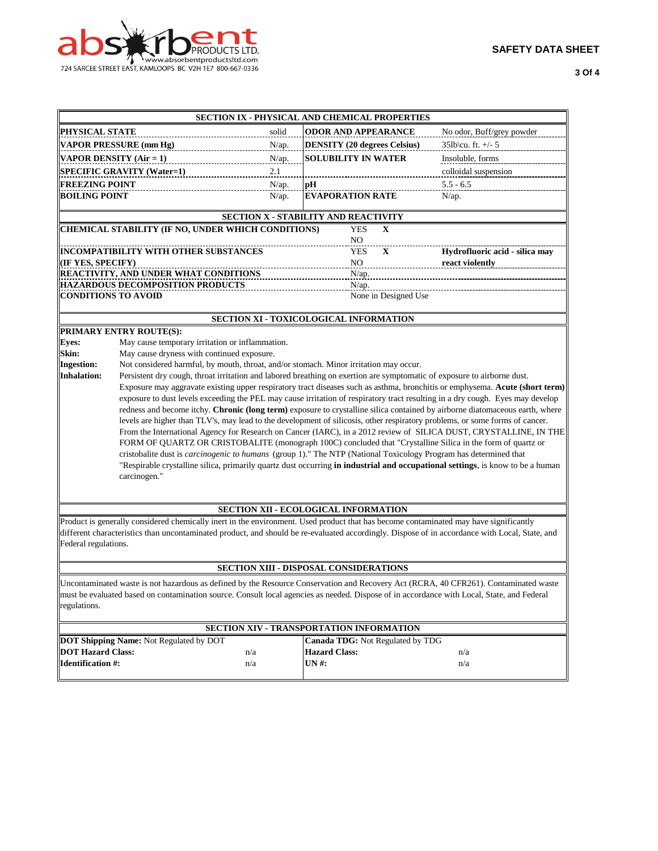

|                                                                                                                                                |                                                                                                                                       | SECTION IX - PHYSICAL AND CHEMICAL PROPERTIES |                            |                      |                                                                                                                                |  |  |  |
|------------------------------------------------------------------------------------------------------------------------------------------------|---------------------------------------------------------------------------------------------------------------------------------------|-----------------------------------------------|----------------------------|----------------------|--------------------------------------------------------------------------------------------------------------------------------|--|--|--|
| <b>PHYSICAL STATE</b>                                                                                                                          |                                                                                                                                       | solid                                         | <b>ODOR AND APPEARANCE</b> |                      | No odor, Buff/grey powder                                                                                                      |  |  |  |
| <b>VAPOR PRESSURE (mm Hg)</b><br>N/ap.                                                                                                         |                                                                                                                                       | <b>DENSITY (20 degrees Celsius)</b>           |                            | 35lb\cu. ft. +/- 5   |                                                                                                                                |  |  |  |
|                                                                                                                                                | VAPOR DENSITY (Air = 1)<br>N/ap.                                                                                                      |                                               | SOLUBILITY IN WATER        |                      | Insoluble, forms                                                                                                               |  |  |  |
|                                                                                                                                                | <b>SPECIFIC GRAVITY (Water=1)</b>                                                                                                     | 2.1                                           |                            |                      | colloidal suspension                                                                                                           |  |  |  |
| <b>FREEZING POINT</b>                                                                                                                          |                                                                                                                                       | N/ap.                                         | pН                         |                      | $5.5 - 6.5$                                                                                                                    |  |  |  |
| <b>BOILING POINT</b>                                                                                                                           |                                                                                                                                       | N/ap.                                         | <b>EVAPORATION RATE</b>    |                      | $N$ /ap.                                                                                                                       |  |  |  |
|                                                                                                                                                |                                                                                                                                       |                                               |                            |                      |                                                                                                                                |  |  |  |
|                                                                                                                                                |                                                                                                                                       | SECTION X - STABILITY AND REACTIVITY          |                            |                      |                                                                                                                                |  |  |  |
|                                                                                                                                                | CHEMICAL STABILITY (IF NO, UNDER WHICH CONDITIONS)                                                                                    |                                               | <b>YES</b>                 | X                    |                                                                                                                                |  |  |  |
|                                                                                                                                                | INCOMPATIBILITY WITH OTHER SUBSTANCES                                                                                                 |                                               | NO<br><b>YES</b>           | $\mathbf X$          | Hydrofluoric acid - silica may                                                                                                 |  |  |  |
| (IF YES, SPECIFY)                                                                                                                              |                                                                                                                                       |                                               | NO                         |                      | react violently                                                                                                                |  |  |  |
|                                                                                                                                                | <b>REACTIVITY, AND UNDER WHAT CONDITIONS</b>                                                                                          |                                               | N/ap.                      |                      |                                                                                                                                |  |  |  |
|                                                                                                                                                | <b>HAZARDOUS DECOMPOSITION PRODUCTS</b>                                                                                               |                                               | N/ap.                      |                      |                                                                                                                                |  |  |  |
| <b>CONDITIONS TO AVOID</b>                                                                                                                     |                                                                                                                                       |                                               |                            | None in Designed Use |                                                                                                                                |  |  |  |
|                                                                                                                                                |                                                                                                                                       |                                               |                            |                      |                                                                                                                                |  |  |  |
|                                                                                                                                                |                                                                                                                                       | <b>SECTION XI - TOXICOLOGICAL INFORMATION</b> |                            |                      |                                                                                                                                |  |  |  |
|                                                                                                                                                | PRIMARY ENTRY ROUTE(S):                                                                                                               |                                               |                            |                      |                                                                                                                                |  |  |  |
| Eyes:                                                                                                                                          | May cause temporary irritation or inflammation.                                                                                       |                                               |                            |                      |                                                                                                                                |  |  |  |
| Skin:<br><b>Ingestion:</b>                                                                                                                     | May cause dryness with continued exposure.<br>Not considered harmful, by mouth, throat, and/or stomach. Minor irritation may occur.   |                                               |                            |                      |                                                                                                                                |  |  |  |
| <b>Inhalation:</b>                                                                                                                             | Persistent dry cough, throat irritation and labored breathing on exertion are symptomatic of exposure to airborne dust.               |                                               |                            |                      |                                                                                                                                |  |  |  |
|                                                                                                                                                |                                                                                                                                       |                                               |                            |                      |                                                                                                                                |  |  |  |
|                                                                                                                                                |                                                                                                                                       |                                               |                            |                      | Exposure may aggravate existing upper respiratory tract diseases such as asthma, bronchitis or emphysema. Acute (short term)   |  |  |  |
|                                                                                                                                                |                                                                                                                                       |                                               |                            |                      | exposure to dust levels exceeding the PEL may cause irritation of respiratory tract resulting in a dry cough. Eyes may develop |  |  |  |
|                                                                                                                                                |                                                                                                                                       |                                               |                            |                      | redness and become itchy. Chronic (long term) exposure to crystalline silica contained by airborne diatomaceous earth, where   |  |  |  |
|                                                                                                                                                |                                                                                                                                       |                                               |                            |                      | levels are higher than TLV's, may lead to the development of silicosis, other respiratory problems, or some forms of cancer.   |  |  |  |
|                                                                                                                                                |                                                                                                                                       |                                               |                            |                      | From the International Agency for Research on Cancer (IARC), in a 2012 review of SILICA DUST, CRYSTALLINE, IN THE              |  |  |  |
|                                                                                                                                                |                                                                                                                                       |                                               |                            |                      | FORM OF QUARTZ OR CRISTOBALITE (monograph 100C) concluded that "Crystalline Silica in the form of quartz or                    |  |  |  |
|                                                                                                                                                | cristobalite dust is <i>carcinogenic to humans</i> (group 1)." The NTP (National Toxicology Program has determined that               |                                               |                            |                      |                                                                                                                                |  |  |  |
|                                                                                                                                                |                                                                                                                                       |                                               |                            |                      | "Respirable crystalline silica, primarily quartz dust occurring in industrial and occupational settings, is know to be a human |  |  |  |
| carcinogen."                                                                                                                                   |                                                                                                                                       |                                               |                            |                      |                                                                                                                                |  |  |  |
|                                                                                                                                                |                                                                                                                                       |                                               |                            |                      |                                                                                                                                |  |  |  |
|                                                                                                                                                |                                                                                                                                       | SECTION XII - ECOLOGICAL INFORMATION          |                            |                      |                                                                                                                                |  |  |  |
|                                                                                                                                                | Product is generally considered chemically inert in the environment. Used product that has become contaminated may have significantly |                                               |                            |                      |                                                                                                                                |  |  |  |
| different characteristics than uncontaminated product, and should be re-evaluated accordingly. Dispose of in accordance with Local, State, and |                                                                                                                                       |                                               |                            |                      |                                                                                                                                |  |  |  |
| Federal regulations.                                                                                                                           |                                                                                                                                       |                                               |                            |                      |                                                                                                                                |  |  |  |
|                                                                                                                                                |                                                                                                                                       |                                               |                            |                      |                                                                                                                                |  |  |  |
|                                                                                                                                                |                                                                                                                                       | <b>SECTION XIII - DISPOSAL CONSIDERATIONS</b> |                            |                      |                                                                                                                                |  |  |  |
| Uncontaminated waste is not hazardous as defined by the Resource Conservation and Recovery Act (RCRA, 40 CFR261). Contaminated waste           |                                                                                                                                       |                                               |                            |                      |                                                                                                                                |  |  |  |
| must be evaluated based on contamination source. Consult local agencies as needed. Dispose of in accordance with Local, State, and Federal     |                                                                                                                                       |                                               |                            |                      |                                                                                                                                |  |  |  |
| regulations.                                                                                                                                   |                                                                                                                                       |                                               |                            |                      |                                                                                                                                |  |  |  |
|                                                                                                                                                |                                                                                                                                       |                                               |                            |                      |                                                                                                                                |  |  |  |
| SECTION XIV - TRANSPORTATION INFORMATION                                                                                                       |                                                                                                                                       |                                               |                            |                      |                                                                                                                                |  |  |  |
| DOT Shipping Name: Not Regulated by DOT<br>Canada TDG: Not Regulated by TDG<br><b>DOT Hazard Class:</b><br><b>Hazard Class:</b>                |                                                                                                                                       |                                               |                            |                      |                                                                                                                                |  |  |  |
| <b>Identification #:</b>                                                                                                                       |                                                                                                                                       | n/a<br>n/a                                    | UN #:                      |                      | n/a<br>n/a                                                                                                                     |  |  |  |
|                                                                                                                                                |                                                                                                                                       |                                               |                            |                      |                                                                                                                                |  |  |  |